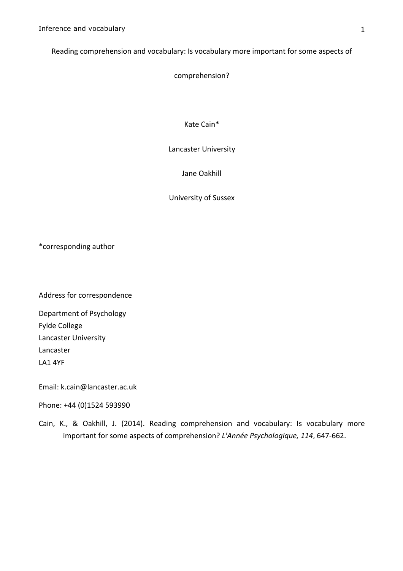Reading comprehension and vocabulary: Is vocabulary more important for some aspects of

comprehension?

Kate Cain\*

Lancaster University

Jane Oakhill

University of Sussex

\*corresponding"author

Address for correspondence

Department of Psychology Fylde College Lancaster University Lancaster LA1 4YF

Email: k.cain@lancaster.ac.uk

Phone: +44 (0)1524 593990

Cain, K., & Oakhill, J. (2014). Reading comprehension and vocabulary: Is vocabulary more important for some aspects of comprehension? *L'Année Psychologique, 114*, 647-662.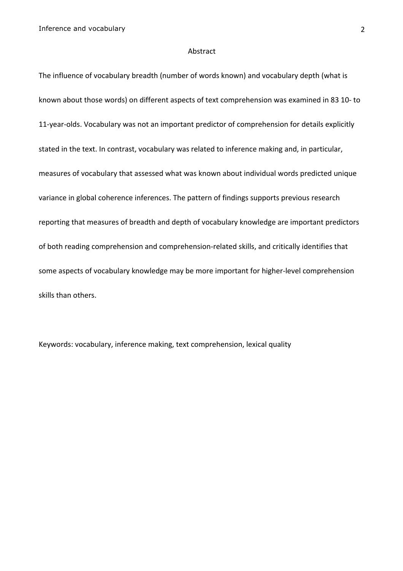### Abstract

The influence of vocabulary breadth (number of words known) and vocabulary depth (what is known about those words) on different aspects of text comprehension was examined in 83 10- to 11-year-olds. Vocabulary was not an important predictor of comprehension for details explicitly stated in the text. In contrast, vocabulary was related to inference making and, in particular, measures of vocabulary that assessed what was known about individual words predicted unique variance in global coherence inferences. The pattern of findings supports previous research reporting that measures of breadth and depth of vocabulary knowledge are important predictors of both reading comprehension and comprehension-related skills, and critically identifies that some aspects of vocabulary knowledge may be more important for higher-level comprehension skills than others.

Keywords: vocabulary, inference making, text comprehension, lexical quality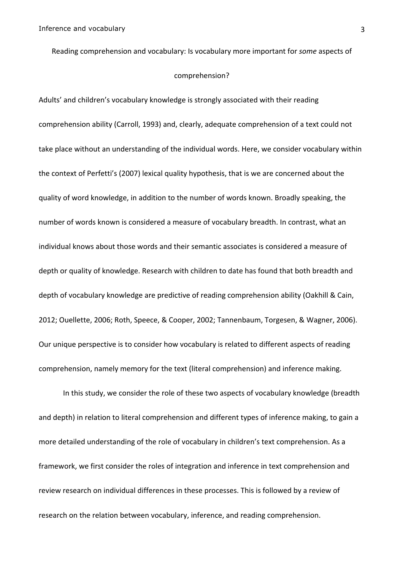Reading comprehension and vocabulary: Is vocabulary more important for *some* aspects of

### comprehension?

Adults' and children's vocabulary knowledge is strongly associated with their reading comprehension ability (Carroll, 1993) and, clearly, adequate comprehension of a text could not take place without an understanding of the individual words. Here, we consider vocabulary within the context of Perfetti's (2007) lexical quality hypothesis, that is we are concerned about the quality of word knowledge, in addition to the number of words known. Broadly speaking, the number of words known is considered a measure of vocabulary breadth. In contrast, what an individual knows about those words and their semantic associates is considered a measure of depth or quality of knowledge. Research with children to date has found that both breadth and depth of vocabulary knowledge are predictive of reading comprehension ability (Oakhill & Cain, 2012; Ouellette, 2006; Roth, Speece, & Cooper, 2002; Tannenbaum, Torgesen, & Wagner, 2006). Our unique perspective is to consider how vocabulary is related to different aspects of reading comprehension, namely memory for the text (literal comprehension) and inference making.

In this study, we consider the role of these two aspects of vocabulary knowledge (breadth and depth) in relation to literal comprehension and different types of inference making, to gain a more detailed understanding of the role of vocabulary in children's text comprehension. As a framework, we first consider the roles of integration and inference in text comprehension and review research on individual differences in these processes. This is followed by a review of research on the relation between vocabulary, inference, and reading comprehension.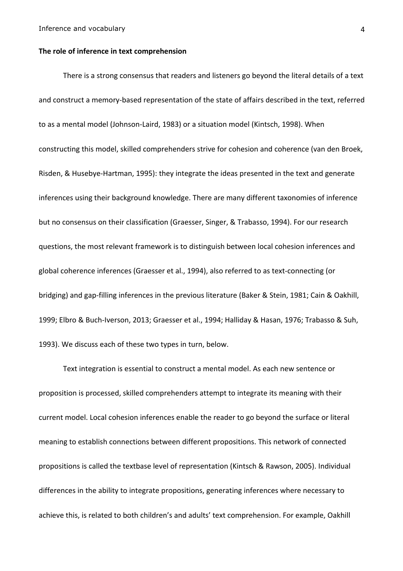### The role of inference in text comprehension

There is a strong consensus that readers and listeners go beyond the literal details of a text and construct a memory-based representation of the state of affairs described in the text, referred to as a mental model (Johnson-Laird, 1983) or a situation model (Kintsch, 1998). When constructing this model, skilled comprehenders strive for cohesion and coherence (van den Broek, Risden, & Husebye-Hartman, 1995): they integrate the ideas presented in the text and generate inferences using their background knowledge. There are many different taxonomies of inference but no consensus on their classification (Graesser, Singer, & Trabasso, 1994). For our research questions, the most relevant framework is to distinguish between local cohesion inferences and global coherence inferences (Graesser et al., 1994), also referred to as text-connecting (or bridging) and gap-filling inferences in the previous literature (Baker & Stein, 1981; Cain & Oakhill, 1999; Elbro & Buch-Iverson, 2013; Graesser et al., 1994; Halliday & Hasan, 1976; Trabasso & Suh, 1993). We discuss each of these two types in turn, below.

Text integration is essential to construct a mental model. As each new sentence or proposition is processed, skilled comprehenders attempt to integrate its meaning with their current model. Local cohesion inferences enable the reader to go beyond the surface or literal meaning to establish connections between different propositions. This network of connected propositions is called the textbase level of representation (Kintsch & Rawson, 2005). Individual differences in the ability to integrate propositions, generating inferences where necessary to achieve this, is related to both children's and adults' text comprehension. For example, Oakhill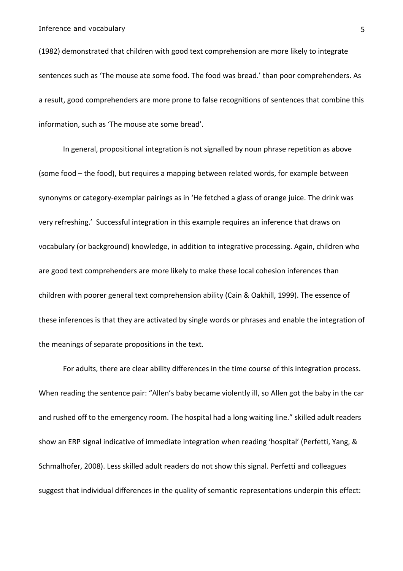(1982) demonstrated that children with good text comprehension are more likely to integrate sentences such as 'The mouse ate some food. The food was bread.' than poor comprehenders. As a result, good comprehenders are more prone to false recognitions of sentences that combine this information, such as 'The mouse ate some bread'.

In general, propositional integration is not signalled by noun phrase repetition as above (some food – the food), but requires a mapping between related words, for example between synonyms or category-exemplar pairings as in 'He fetched a glass of orange juice. The drink was very refreshing.' Successful integration in this example requires an inference that draws on vocabulary (or background) knowledge, in addition to integrative processing. Again, children who are good text comprehenders are more likely to make these local cohesion inferences than children with poorer general text comprehension ability (Cain & Oakhill, 1999). The essence of these inferences is that they are activated by single words or phrases and enable the integration of the meanings of separate propositions in the text.

For adults, there are clear ability differences in the time course of this integration process. When reading the sentence pair: "Allen's baby became violently ill, so Allen got the baby in the car and rushed off to the emergency room. The hospital had a long waiting line." skilled adult readers show an ERP signal indicative of immediate integration when reading 'hospital' (Perfetti, Yang, & Schmalhofer, 2008). Less skilled adult readers do not show this signal. Perfetti and colleagues suggest that individual differences in the quality of semantic representations underpin this effect: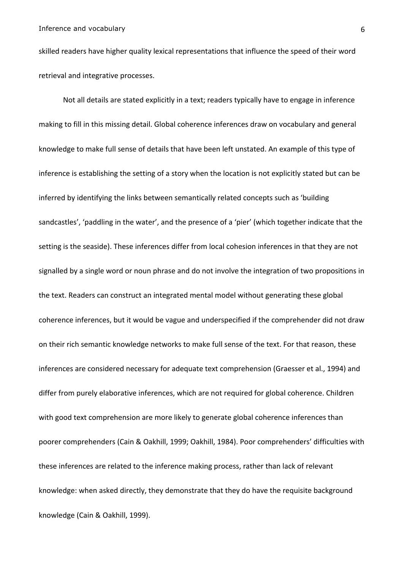skilled readers have higher quality lexical representations that influence the speed of their word retrieval and integrative processes.

Not all details are stated explicitly in a text; readers typically have to engage in inference making to fill in this missing detail. Global coherence inferences draw on vocabulary and general knowledge to make full sense of details that have been left unstated. An example of this type of inference is establishing the setting of a story when the location is not explicitly stated but can be inferred by identifying the links between semantically related concepts such as 'building sandcastles', 'paddling in the water', and the presence of a 'pier' (which together indicate that the setting is the seaside). These inferences differ from local cohesion inferences in that they are not signalled by a single word or noun phrase and do not involve the integration of two propositions in the text. Readers can construct an integrated mental model without generating these global coherence inferences, but it would be vague and underspecified if the comprehender did not draw on their rich semantic knowledge networks to make full sense of the text. For that reason, these inferences are considered necessary for adequate text comprehension (Graesser et al., 1994) and differ from purely elaborative inferences, which are not required for global coherence. Children with good text comprehension are more likely to generate global coherence inferences than poorer comprehenders (Cain & Oakhill, 1999; Oakhill, 1984). Poor comprehenders' difficulties with these inferences are related to the inference making process, rather than lack of relevant knowledge: when asked directly, they demonstrate that they do have the requisite background knowledge (Cain & Oakhill, 1999).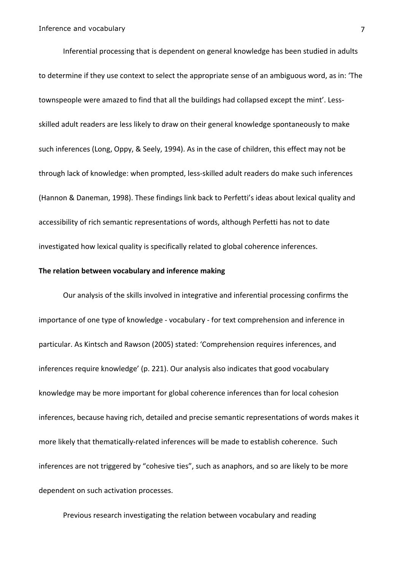Inferential processing that is dependent on general knowledge has been studied in adults to determine if they use context to select the appropriate sense of an ambiguous word, as in: 'The" townspeople were amazed to find that all the buildings had collapsed except the mint'. Lessskilled adult readers are less likely to draw on their general knowledge spontaneously to make such inferences (Long, Oppy, & Seely, 1994). As in the case of children, this effect may not be through lack of knowledge: when prompted, less-skilled adult readers do make such inferences (Hannon & Daneman, 1998). These findings link back to Perfetti's ideas about lexical quality and accessibility of rich semantic representations of words, although Perfetti has not to date investigated how lexical quality is specifically related to global coherence inferences.

## The relation between vocabulary and inference making

Our analysis of the skills involved in integrative and inferential processing confirms the importance of one type of knowledge - vocabulary - for text comprehension and inference in particular. As Kintsch and Rawson (2005) stated: 'Comprehension requires inferences, and inferences require knowledge' (p. 221). Our analysis also indicates that good vocabulary knowledge may be more important for global coherence inferences than for local cohesion inferences, because having rich, detailed and precise semantic representations of words makes it more likely that thematically-related inferences will be made to establish coherence. Such inferences are not triggered by "cohesive ties", such as anaphors, and so are likely to be more dependent on such activation processes.

Previous research investigating the relation between vocabulary and reading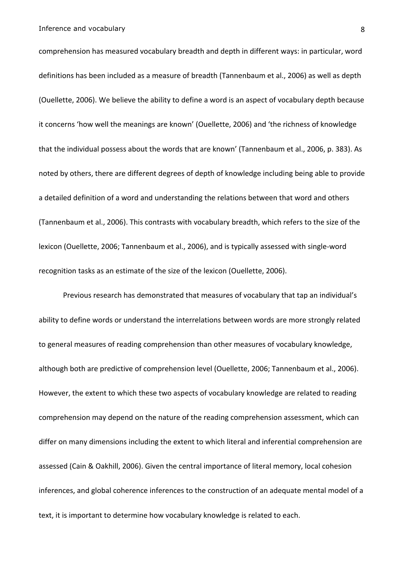comprehension has measured vocabulary breadth and depth in different ways: in particular, word definitions has been included as a measure of breadth (Tannenbaum et al., 2006) as well as depth (Ouellette, 2006). We believe the ability to define a word is an aspect of vocabulary depth because it concerns 'how well the meanings are known' (Ouellette, 2006) and 'the richness of knowledge that the individual possess about the words that are known' (Tannenbaum et al., 2006, p. 383). As noted by others, there are different degrees of depth of knowledge including being able to provide a detailed definition of a word and understanding the relations between that word and others (Tannenbaum et al., 2006). This contrasts with vocabulary breadth, which refers to the size of the lexicon (Ouellette, 2006; Tannenbaum et al., 2006), and is typically assessed with single-word recognition tasks as an estimate of the size of the lexicon (Ouellette, 2006).

Previous research has demonstrated that measures of vocabulary that tap an individual's ability to define words or understand the interrelations between words are more strongly related to general measures of reading comprehension than other measures of vocabulary knowledge, although both are predictive of comprehension level (Ouellette, 2006; Tannenbaum et al., 2006). However, the extent to which these two aspects of vocabulary knowledge are related to reading comprehension may depend on the nature of the reading comprehension assessment, which can differ on many dimensions including the extent to which literal and inferential comprehension are assessed (Cain & Oakhill, 2006). Given the central importance of literal memory, local cohesion inferences, and global coherence inferences to the construction of an adequate mental model of a text, it is important to determine how vocabulary knowledge is related to each.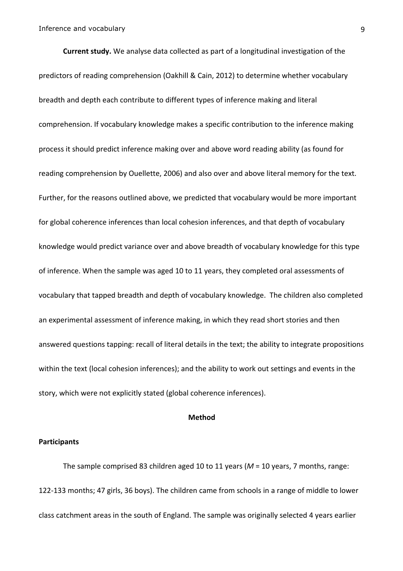**Current study.** We analyse data collected as part of a longitudinal investigation of the predictors of reading comprehension (Oakhill & Cain, 2012) to determine whether vocabulary breadth and depth each contribute to different types of inference making and literal comprehension. If vocabulary knowledge makes a specific contribution to the inference making process it should predict inference making over and above word reading ability (as found for reading comprehension by Ouellette, 2006) and also over and above literal memory for the text. Further, for the reasons outlined above, we predicted that vocabulary would be more important for global coherence inferences than local cohesion inferences, and that depth of vocabulary knowledge would predict variance over and above breadth of vocabulary knowledge for this type of inference. When the sample was aged 10 to 11 years, they completed oral assessments of vocabulary that tapped breadth and depth of vocabulary knowledge. The children also completed an experimental assessment of inference making, in which they read short stories and then answered questions tapping: recall of literal details in the text; the ability to integrate propositions within the text (local cohesion inferences); and the ability to work out settings and events in the story, which were not explicitly stated (global coherence inferences).

## **Method\$**

## **Participants**

The sample comprised 83 children aged 10 to 11 years ( $M = 10$  years, 7 months, range: 122-133 months; 47 girls, 36 boys). The children came from schools in a range of middle to lower class catchment areas in the south of England. The sample was originally selected 4 years earlier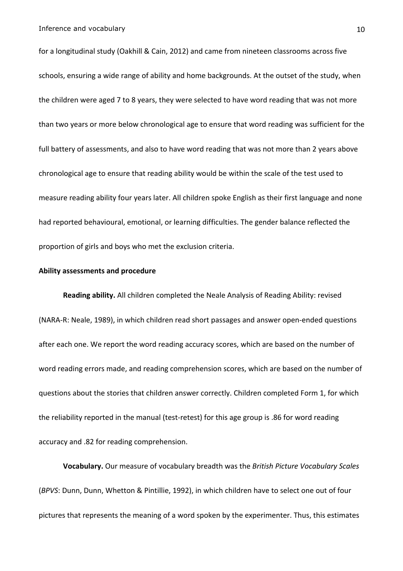for a longitudinal study (Oakhill & Cain, 2012) and came from nineteen classrooms across five schools, ensuring a wide range of ability and home backgrounds. At the outset of the study, when the children were aged 7 to 8 years, they were selected to have word reading that was not more than two years or more below chronological age to ensure that word reading was sufficient for the full battery of assessments, and also to have word reading that was not more than 2 years above chronological age to ensure that reading ability would be within the scale of the test used to measure reading ability four years later. All children spoke English as their first language and none had reported behavioural, emotional, or learning difficulties. The gender balance reflected the proportion of girls and boys who met the exclusion criteria.

### **Ability assessments and procedure**

Reading ability. All children completed the Neale Analysis of Reading Ability: revised (NARA-R: Neale, 1989), in which children read short passages and answer open-ended questions after each one. We report the word reading accuracy scores, which are based on the number of word reading errors made, and reading comprehension scores, which are based on the number of questions about the stories that children answer correctly. Children completed Form 1, for which the reliability reported in the manual (test-retest) for this age group is .86 for word reading accuracy and .82 for reading comprehension.

**Vocabulary.** Our measure of vocabulary breadth was the *British Picture Vocabulary Scales* (BPVS: Dunn, Dunn, Whetton & Pintillie, 1992), in which children have to select one out of four pictures that represents the meaning of a word spoken by the experimenter. Thus, this estimates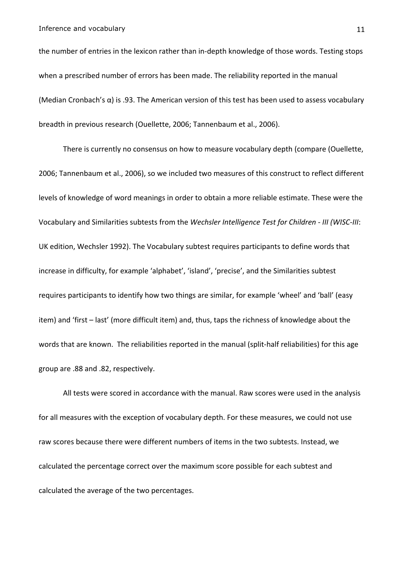the number of entries in the lexicon rather than in-depth knowledge of those words. Testing stops when a prescribed number of errors has been made. The reliability reported in the manual (Median Cronbach's  $\alpha$ ) is .93. The American version of this test has been used to assess vocabulary breadth in previous research (Ouellette, 2006; Tannenbaum et al., 2006).

There is currently no consensus on how to measure vocabulary depth (compare (Ouellette, 2006; Tannenbaum et al., 2006), so we included two measures of this construct to reflect different levels of knowledge of word meanings in order to obtain a more reliable estimate. These were the Vocabulary and Similarities subtests from the *Wechsler Intelligence Test for Children - III (WISC-III*: UK edition, Wechsler 1992). The Vocabulary subtest requires participants to define words that increase in difficulty, for example 'alphabet', 'island', 'precise', and the Similarities subtest requires participants to identify how two things are similar, for example 'wheel' and 'ball' (easy item) and 'first – last' (more difficult item) and, thus, taps the richness of knowledge about the words that are known. The reliabilities reported in the manual (split-half reliabilities) for this age group are .88 and .82, respectively.

All tests were scored in accordance with the manual. Raw scores were used in the analysis for all measures with the exception of vocabulary depth. For these measures, we could not use raw scores because there were different numbers of items in the two subtests. Instead, we calculated the percentage correct over the maximum score possible for each subtest and calculated the average of the two percentages.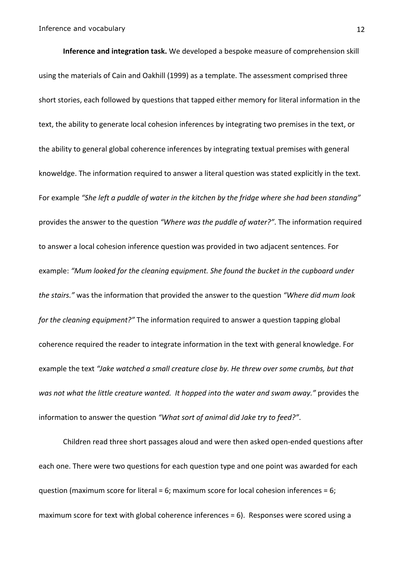**Inference and integration task.** We developed a bespoke measure of comprehension skill using the materials of Cain and Oakhill (1999) as a template. The assessment comprised three short stories, each followed by questions that tapped either memory for literal information in the text, the ability to generate local cohesion inferences by integrating two premises in the text, or the ability to general global coherence inferences by integrating textual premises with general knoweldge. The information required to answer a literal question was stated explicitly in the text. For example "She left a puddle of water in the kitchen by the fridge where she had been standing" provides the answer to the question "Where was the puddle of water?". The information required to answer a local cohesion inference question was provided in two adjacent sentences. For example: "Mum looked for the cleaning equipment. She found the bucket in the cupboard under the stairs." was the information that provided the answer to the question "Where did mum look *for the cleaning equipment?"* The information required to answer a question tapping global coherence required the reader to integrate information in the text with general knowledge. For example the text "Jake watched a small creature close by. He threw over some crumbs, but that was not what the little creature wanted. It hopped into the water and swam away." provides the information to answer the question "What sort of animal did Jake try to feed?".

Children read three short passages aloud and were then asked open-ended questions after each one. There were two questions for each question type and one point was awarded for each question (maximum score for literal = 6; maximum score for local cohesion inferences = 6; maximum score for text with global coherence inferences =  $6$ ). Responses were scored using a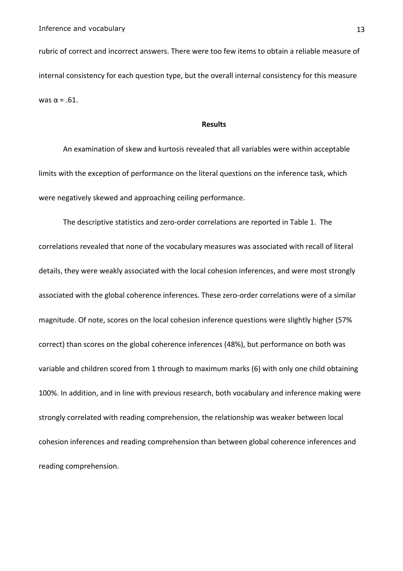rubric of correct and incorrect answers. There were too few items to obtain a reliable measure of internal consistency for each question type, but the overall internal consistency for this measure was  $α = .61$ .

## **Results**

An examination of skew and kurtosis revealed that all variables were within acceptable limits with the exception of performance on the literal questions on the inference task, which were negatively skewed and approaching ceiling performance.

The descriptive statistics and zero-order correlations are reported in Table 1. The correlations revealed that none of the vocabulary measures was associated with recall of literal details, they were weakly associated with the local cohesion inferences, and were most strongly associated with the global coherence inferences. These zero-order correlations were of a similar magnitude. Of note, scores on the local cohesion inference questions were slightly higher (57% correct) than scores on the global coherence inferences (48%), but performance on both was variable and children scored from 1 through to maximum marks (6) with only one child obtaining 100%. In addition, and in line with previous research, both vocabulary and inference making were strongly correlated with reading comprehension, the relationship was weaker between local cohesion inferences and reading comprehension than between global coherence inferences and reading comprehension.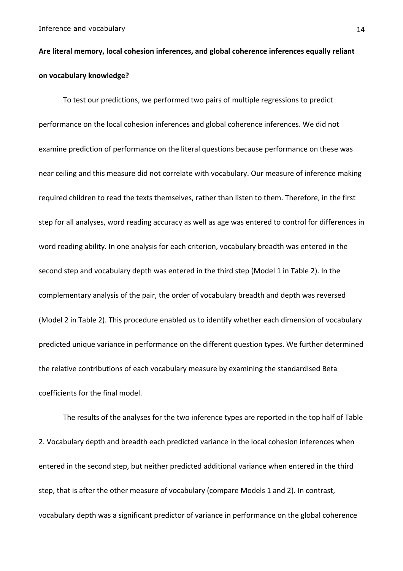# Are literal memory, local cohesion inferences, and global coherence inferences equally reliant **on\$vocabulary\$knowledge?\$**

To test our predictions, we performed two pairs of multiple regressions to predict performance on the local cohesion inferences and global coherence inferences. We did not examine prediction of performance on the literal questions because performance on these was near ceiling and this measure did not correlate with vocabulary. Our measure of inference making required children to read the texts themselves, rather than listen to them. Therefore, in the first step for all analyses, word reading accuracy as well as age was entered to control for differences in word reading ability. In one analysis for each criterion, vocabulary breadth was entered in the second step and vocabulary depth was entered in the third step (Model 1 in Table 2). In the complementary analysis of the pair, the order of vocabulary breadth and depth was reversed (Model 2 in Table 2). This procedure enabled us to identify whether each dimension of vocabulary predicted unique variance in performance on the different question types. We further determined the relative contributions of each vocabulary measure by examining the standardised Beta coefficients for the final model.

The results of the analyses for the two inference types are reported in the top half of Table 2. Vocabulary depth and breadth each predicted variance in the local cohesion inferences when entered in the second step, but neither predicted additional variance when entered in the third step, that is after the other measure of vocabulary (compare Models 1 and 2). In contrast, vocabulary depth was a significant predictor of variance in performance on the global coherence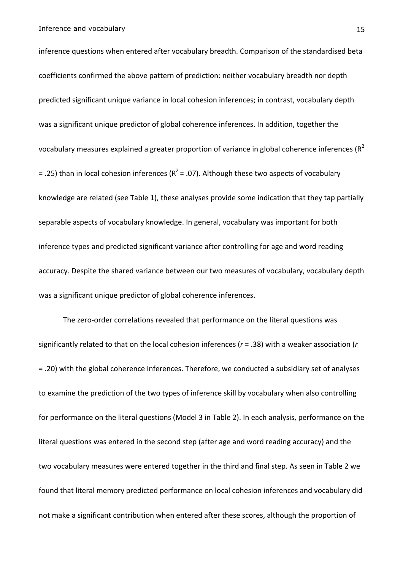inference questions when entered after vocabulary breadth. Comparison of the standardised beta coefficients confirmed the above pattern of prediction: neither vocabulary breadth nor depth predicted significant unique variance in local cohesion inferences; in contrast, vocabulary depth was a significant unique predictor of global coherence inferences. In addition, together the vocabulary measures explained a greater proportion of variance in global coherence inferences ( $R^2$ = .25) than in local cohesion inferences ( $R^2$  = .07). Although these two aspects of vocabulary knowledge are related (see Table 1), these analyses provide some indication that they tap partially separable aspects of vocabulary knowledge. In general, vocabulary was important for both inference types and predicted significant variance after controlling for age and word reading accuracy. Despite the shared variance between our two measures of vocabulary, vocabulary depth was a significant unique predictor of global coherence inferences.

The zero-order correlations revealed that performance on the literal questions was significantly related to that on the local cohesion inferences ( $r = .38$ ) with a weaker association ( $r$ = .20) with the global coherence inferences. Therefore, we conducted a subsidiary set of analyses to examine the prediction of the two types of inference skill by vocabulary when also controlling for performance on the literal questions (Model 3 in Table 2). In each analysis, performance on the literal questions was entered in the second step (after age and word reading accuracy) and the two vocabulary measures were entered together in the third and final step. As seen in Table 2 we found that literal memory predicted performance on local cohesion inferences and vocabulary did not make a significant contribution when entered after these scores, although the proportion of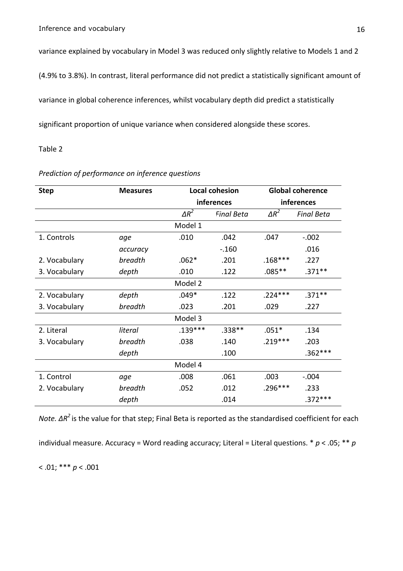variance explained by vocabulary in Model 3 was reduced only slightly relative to Models 1 and 2

(4.9% to 3.8%). In contrast, literal performance did not predict a statistically significant amount of

variance in global coherence inferences, whilst vocabulary depth did predict a statistically

significant proportion of unique variance when considered alongside these scores.

## Table 2

| <b>Step</b>   | <b>Measures</b> |              | <b>Local cohesion</b> | <b>Global coherence</b> |                   |
|---------------|-----------------|--------------|-----------------------|-------------------------|-------------------|
|               |                 |              | inferences            | inferences              |                   |
|               |                 | $\Delta R^2$ | <b>Final Beta</b>     | $\Delta R^2$            | <b>Final Beta</b> |
|               |                 | Model 1      |                       |                         |                   |
| 1. Controls   | age             | .010         | .042<br>.047          |                         | $-.002$           |
|               | accuracy        |              | $-.160$               |                         | .016              |
| 2. Vocabulary | breadth         | $.062*$      | .201                  | $.168***$               | .227              |
| 3. Vocabulary | depth           | .010         | .122                  | $.085**$                | $.371**$          |
|               |                 | Model 2      |                       |                         |                   |
| 2. Vocabulary | depth           | $.049*$      | .122                  | $.224***$               | $.371**$          |
| 3. Vocabulary | breadth         | .023         | .201                  | .029                    | .227              |
|               |                 | Model 3      |                       |                         |                   |
| 2. Literal    | literal         | $.139***$    | $.338**$              | $.051*$                 | .134              |
| 3. Vocabulary | breadth         | .038         | .140                  | $.219***$               | .203              |
|               | depth           |              | .100                  |                         | $.362***$         |
|               |                 | Model 4      |                       |                         |                   |
| 1. Control    | age             | .008         | .061                  | .003                    | $-.004$           |
| 2. Vocabulary | breadth         | .052         | .012                  | .296***                 | .233              |
|               | depth           |              | .014                  |                         | $.372***$         |

## *Prediction'of'performance'on'inference'questions*

*Note.* ΔR<sup>2</sup> is the value for that step; Final Beta is reported as the standardised coefficient for each

individual measure. Accuracy = Word reading accuracy; Literal = Literal questions. \*  $p < .05$ ; \*\*  $p$ 

 $< .01; ***p < .001$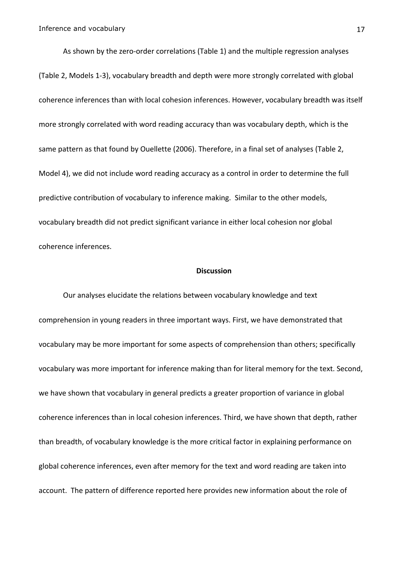As shown by the zero-order correlations (Table 1) and the multiple regression analyses (Table 2, Models 1-3), vocabulary breadth and depth were more strongly correlated with global coherence inferences than with local cohesion inferences. However, vocabulary breadth was itself more strongly correlated with word reading accuracy than was vocabulary depth, which is the same pattern as that found by Ouellette (2006). Therefore, in a final set of analyses (Table 2, Model 4), we did not include word reading accuracy as a control in order to determine the full predictive contribution of vocabulary to inference making. Similar to the other models, vocabulary breadth did not predict significant variance in either local cohesion nor global coherence inferences.

### **Discussion**

Our analyses elucidate the relations between vocabulary knowledge and text comprehension in young readers in three important ways. First, we have demonstrated that vocabulary may be more important for some aspects of comprehension than others; specifically vocabulary was more important for inference making than for literal memory for the text. Second, we have shown that vocabulary in general predicts a greater proportion of variance in global coherence inferences than in local cohesion inferences. Third, we have shown that depth, rather than breadth, of vocabulary knowledge is the more critical factor in explaining performance on global coherence inferences, even after memory for the text and word reading are taken into account. The pattern of difference reported here provides new information about the role of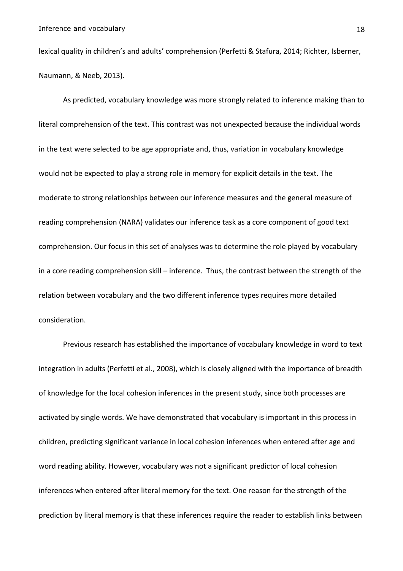lexical quality in children's and adults' comprehension (Perfetti & Stafura, 2014; Richter, Isberner, Naumann, & Neeb, 2013).

As predicted, vocabulary knowledge was more strongly related to inference making than to literal comprehension of the text. This contrast was not unexpected because the individual words in the text were selected to be age appropriate and, thus, variation in vocabulary knowledge would not be expected to play a strong role in memory for explicit details in the text. The moderate to strong relationships between our inference measures and the general measure of reading comprehension (NARA) validates our inference task as a core component of good text comprehension. Our focus in this set of analyses was to determine the role played by vocabulary in a core reading comprehension skill – inference. Thus, the contrast between the strength of the relation between vocabulary and the two different inference types requires more detailed consideration.

Previous research has established the importance of vocabulary knowledge in word to text integration in adults (Perfetti et al., 2008), which is closely aligned with the importance of breadth of knowledge for the local cohesion inferences in the present study, since both processes are activated by single words. We have demonstrated that vocabulary is important in this process in children, predicting significant variance in local cohesion inferences when entered after age and word reading ability. However, vocabulary was not a significant predictor of local cohesion inferences when entered after literal memory for the text. One reason for the strength of the prediction by literal memory is that these inferences require the reader to establish links between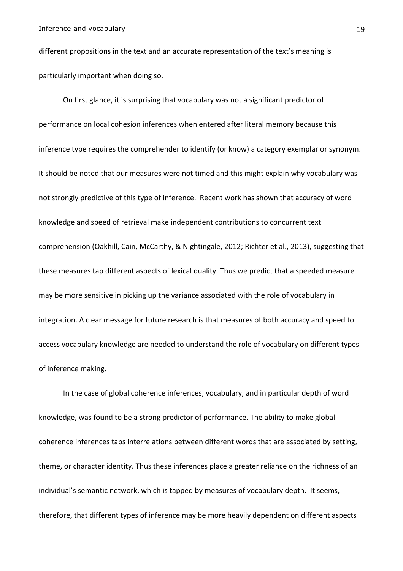different propositions in the text and an accurate representation of the text's meaning is particularly important when doing so.

On first glance, it is surprising that vocabulary was not a significant predictor of performance on local cohesion inferences when entered after literal memory because this inference type requires the comprehender to identify (or know) a category exemplar or synonym. It should be noted that our measures were not timed and this might explain why vocabulary was not strongly predictive of this type of inference. Recent work has shown that accuracy of word knowledge and speed of retrieval make independent contributions to concurrent text comprehension (Oakhill, Cain, McCarthy, & Nightingale, 2012; Richter et al., 2013), suggesting that these measures tap different aspects of lexical quality. Thus we predict that a speeded measure may be more sensitive in picking up the variance associated with the role of vocabulary in integration. A clear message for future research is that measures of both accuracy and speed to access vocabulary knowledge are needed to understand the role of vocabulary on different types of inference making.

In the case of global coherence inferences, vocabulary, and in particular depth of word knowledge, was found to be a strong predictor of performance. The ability to make global coherence inferences taps interrelations between different words that are associated by setting, theme, or character identity. Thus these inferences place a greater reliance on the richness of an individual's semantic network, which is tapped by measures of vocabulary depth. It seems, therefore, that different types of inference may be more heavily dependent on different aspects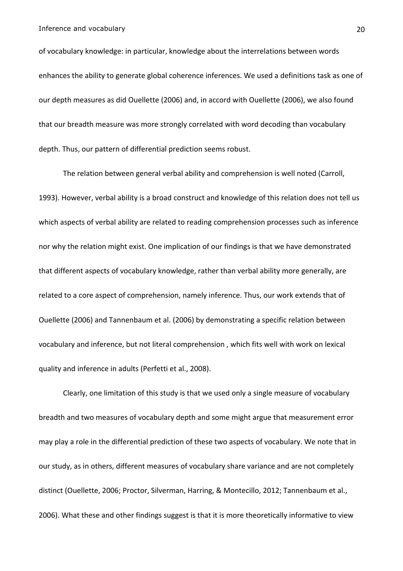of vocabulary knowledge: in particular, knowledge about the interrelations between words enhances the ability to generate global coherence inferences. We used a definitions task as one of our depth measures as did Ouellette (2006) and, in accord with Ouellette (2006), we also found that our breadth measure was more strongly correlated with word decoding than vocabulary depth. Thus, our pattern of differential prediction seems robust.

The relation between general verbal ability and comprehension is well noted (Carroll, 1993). However, verbal ability is a broad construct and knowledge of this relation does not tell us which aspects of verbal ability are related to reading comprehension processes such as inference nor why the relation might exist. One implication of our findings is that we have demonstrated that different aspects of vocabulary knowledge, rather than verbal ability more generally, are related to a core aspect of comprehension, namely inference. Thus, our work extends that of Ouellette (2006) and Tannenbaum et al. (2006) by demonstrating a specific relation between vocabulary and inference, but not literal comprehension, which fits well with work on lexical quality and inference in adults (Perfetti et al., 2008).

Clearly, one limitation of this study is that we used only a single measure of vocabulary breadth and two measures of vocabulary depth and some might argue that measurement error may play a role in the differential prediction of these two aspects of vocabulary. We note that in our study, as in others, different measures of vocabulary share variance and are not completely distinct (Ouellette, 2006; Proctor, Silverman, Harring, & Montecillo, 2012; Tannenbaum et al., 2006). What these and other findings suggest is that it is more theoretically informative to view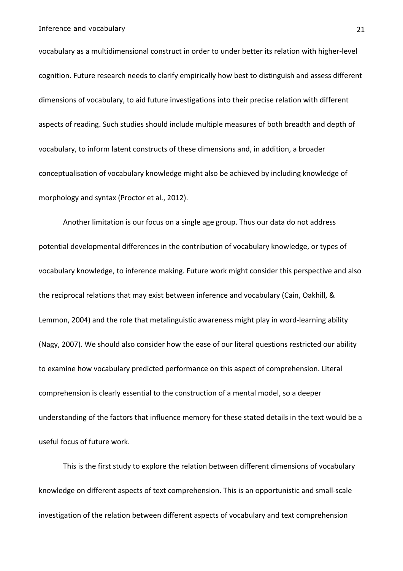vocabulary as a multidimensional construct in order to under better its relation with higher-level cognition. Future research needs to clarify empirically how best to distinguish and assess different dimensions of vocabulary, to aid future investigations into their precise relation with different aspects of reading. Such studies should include multiple measures of both breadth and depth of vocabulary, to inform latent constructs of these dimensions and, in addition, a broader conceptualisation of vocabulary knowledge might also be achieved by including knowledge of morphology and syntax (Proctor et al., 2012).

Another limitation is our focus on a single age group. Thus our data do not address potential developmental differences in the contribution of vocabulary knowledge, or types of vocabulary knowledge, to inference making. Future work might consider this perspective and also the reciprocal relations that may exist between inference and vocabulary (Cain, Oakhill, & Lemmon, 2004) and the role that metalinguistic awareness might play in word-learning ability (Nagy, 2007). We should also consider how the ease of our literal questions restricted our ability to examine how vocabulary predicted performance on this aspect of comprehension. Literal comprehension is clearly essential to the construction of a mental model, so a deeper understanding of the factors that influence memory for these stated details in the text would be a useful focus of future work.

This is the first study to explore the relation between different dimensions of vocabulary knowledge on different aspects of text comprehension. This is an opportunistic and small-scale investigation of the relation between different aspects of vocabulary and text comprehension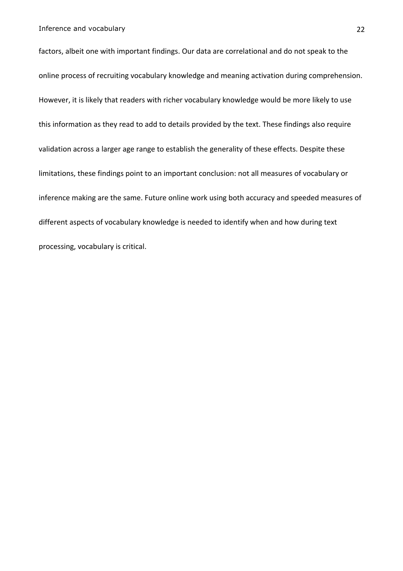factors, albeit one with important findings. Our data are correlational and do not speak to the online process of recruiting vocabulary knowledge and meaning activation during comprehension. However, it is likely that readers with richer vocabulary knowledge would be more likely to use this information as they read to add to details provided by the text. These findings also require validation across a larger age range to establish the generality of these effects. Despite these limitations, these findings point to an important conclusion: not all measures of vocabulary or inference making are the same. Future online work using both accuracy and speeded measures of different aspects of vocabulary knowledge is needed to identify when and how during text processing, vocabulary is critical.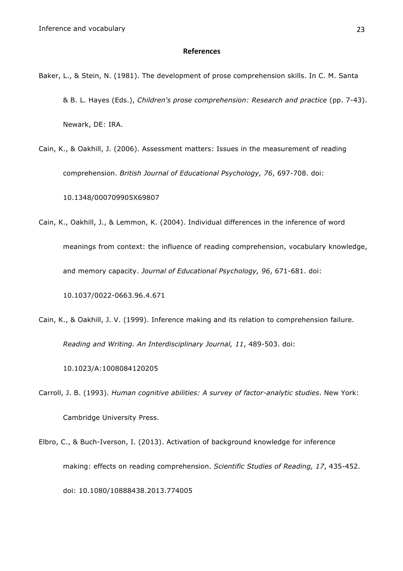### **References**

- Baker, L., & Stein, N. (1981). The development of prose comprehension skills. In C. M. Santa & B. L. Hayes (Eds.), *Children's prose comprehension: Research and practice* (pp. 7-43). Newark, DE: IRA.
- Cain, K., & Oakhill, J. (2006). Assessment matters: Issues in the measurement of reading comprehension. *British Journal of Educational Psychology, 76*, 697-708. doi:

10.1348/000709905X69807

- Cain, K., Oakhill, J., & Lemmon, K. (2004). Individual differences in the inference of word meanings from context: the influence of reading comprehension, vocabulary knowledge, and memory capacity. *Journal of Educational Psychology, 96*, 671-681. doi: 10.1037/0022-0663.96.4.671
- Cain, K., & Oakhill, J. V. (1999). Inference making and its relation to comprehension failure.

*Reading and Writing. An Interdisciplinary Journal, 11*, 489-503. doi:

10.1023/A:1008084120205

- Carroll, J. B. (1993). *Human cognitive abilities: A survey of factor-analytic studies*. New York: Cambridge University Press.
- Elbro, C., & Buch-Iverson, I. (2013). Activation of background knowledge for inference making: effects on reading comprehension. *Scientific Studies of Reading, 17*, 435-452. doi: 10.1080/10888438.2013.774005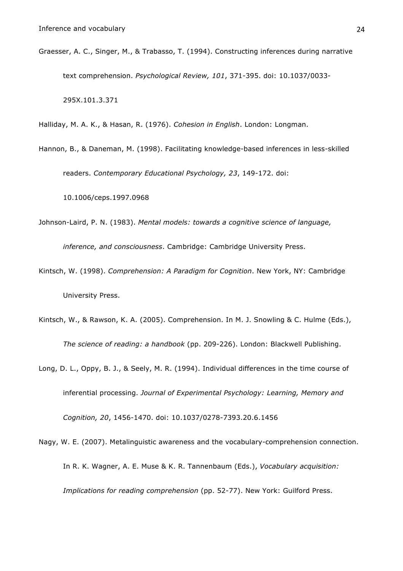Graesser, A. C., Singer, M., & Trabasso, T. (1994). Constructing inferences during narrative text comprehension. *Psychological Review, 101*, 371-395. doi: 10.1037/0033- 295X.101.3.371

Halliday, M. A. K., & Hasan, R. (1976). *Cohesion in English*. London: Longman.

Hannon, B., & Daneman, M. (1998). Facilitating knowledge-based inferences in less-skilled readers. *Contemporary Educational Psychology, 23*, 149-172. doi:

10.1006/ceps.1997.0968

- Johnson-Laird, P. N. (1983). *Mental models: towards a cognitive science of language, inference, and consciousness*. Cambridge: Cambridge University Press.
- Kintsch, W. (1998). *Comprehension: A Paradigm for Cognition*. New York, NY: Cambridge University Press.
- Kintsch, W., & Rawson, K. A. (2005). Comprehension. In M. J. Snowling & C. Hulme (Eds.), *The science of reading: a handbook* (pp. 209-226). London: Blackwell Publishing.
- Long, D. L., Oppy, B. J., & Seely, M. R. (1994). Individual differences in the time course of inferential processing. *Journal of Experimental Psychology: Learning, Memory and Cognition, 20*, 1456-1470. doi: 10.1037/0278-7393.20.6.1456
- Nagy, W. E. (2007). Metalinguistic awareness and the vocabulary-comprehension connection. In R. K. Wagner, A. E. Muse & K. R. Tannenbaum (Eds.), *Vocabulary acquisition: Implications for reading comprehension* (pp. 52-77). New York: Guilford Press.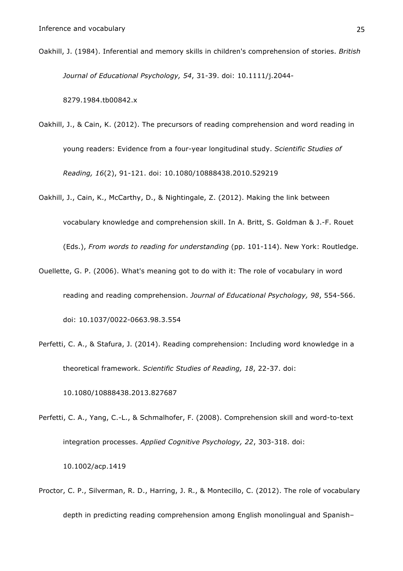Oakhill, J. (1984). Inferential and memory skills in children's comprehension of stories. *British Journal of Educational Psychology, 54*, 31-39. doi: 10.1111/j.2044-

8279.1984.tb00842.x

- Oakhill, J., & Cain, K. (2012). The precursors of reading comprehension and word reading in young readers: Evidence from a four-year longitudinal study. *Scientific Studies of Reading, 16*(2), 91-121. doi: 10.1080/10888438.2010.529219
- Oakhill, J., Cain, K., McCarthy, D., & Nightingale, Z. (2012). Making the link between vocabulary knowledge and comprehension skill. In A. Britt, S. Goldman & J.-F. Rouet (Eds.), *From words to reading for understanding* (pp. 101-114). New York: Routledge.
- Ouellette, G. P. (2006). What's meaning got to do with it: The role of vocabulary in word reading and reading comprehension. *Journal of Educational Psychology, 98*, 554-566. doi: 10.1037/0022-0663.98.3.554
- Perfetti, C. A., & Stafura, J. (2014). Reading comprehension: Including word knowledge in a theoretical framework. *Scientific Studies of Reading, 18*, 22-37. doi:

10.1080/10888438.2013.827687

- Perfetti, C. A., Yang, C.-L., & Schmalhofer, F. (2008). Comprehension skill and word-to-text integration processes. *Applied Cognitive Psychology, 22*, 303-318. doi: 10.1002/acp.1419
- Proctor, C. P., Silverman, R. D., Harring, J. R., & Montecillo, C. (2012). The role of vocabulary depth in predicting reading comprehension among English monolingual and Spanish–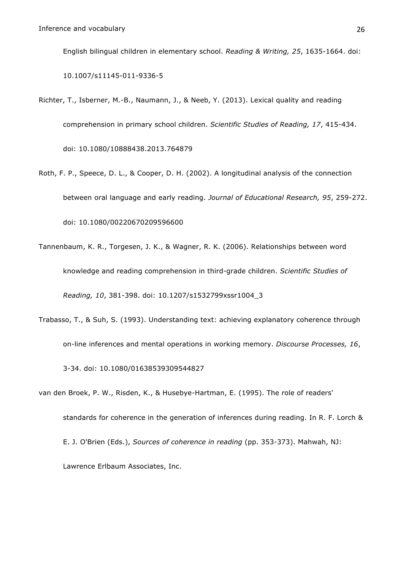English bilingual children in elementary school. *Reading & Writing, 25*, 1635-1664. doi:

10.1007/s11145-011-9336-5

- Richter, T., Isberner, M.-B., Naumann, J., & Neeb, Y. (2013). Lexical quality and reading comprehension in primary school children. *Scientific Studies of Reading, 17*, 415-434. doi: 10.1080/10888438.2013.764879
- Roth, F. P., Speece, D. L., & Cooper, D. H. (2002). A longitudinal analysis of the connection between oral language and early reading. *Journal of Educational Research, 95*, 259-272. doi: 10.1080/00220670209596600
- Tannenbaum, K. R., Torgesen, J. K., & Wagner, R. K. (2006). Relationships between word knowledge and reading comprehension in third-grade children. *Scientific Studies of Reading, 10*, 381-398. doi: 10.1207/s1532799xssr1004\_3
- Trabasso, T., & Suh, S. (1993). Understanding text: achieving explanatory coherence through on-line inferences and mental operations in working memory. *Discourse Processes, 16*, 3-34. doi: 10.1080/01638539309544827
- van den Broek, P. W., Risden, K., & Husebye-Hartman, E. (1995). The role of readers' standards for coherence in the generation of inferences during reading. In R. F. Lorch & E. J. O'Brien (Eds.), *Sources of coherence in reading* (pp. 353-373). Mahwah, NJ: Lawrence Erlbaum Associates, Inc.